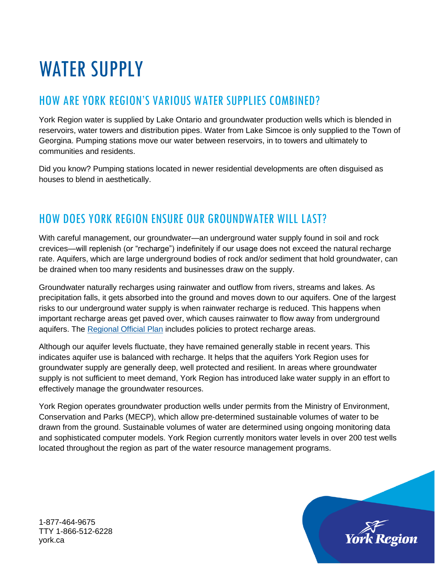# WATER SUPPLY

## HOW ARE YORK REGION'S VARIOUS WATER SUPPLIES COMBINED?

York Region water is supplied by Lake Ontario and groundwater production wells which is blended in reservoirs, water towers and distribution pipes. Water from Lake Simcoe is only supplied to the Town of Georgina. Pumping stations move our water between reservoirs, in to towers and ultimately to communities and residents.

Did you know? Pumping stations located in newer residential developments are often disguised as houses to blend in aesthetically.

### HOW DOES YORK REGION ENSURE OUR GROUNDWATER WILL LAST?

With careful management, our groundwater—an underground water supply found in soil and rock crevices—will replenish (or "recharge") indefinitely if our usage does not exceed the natural recharge rate. Aquifers, which are large underground bodies of rock and/or sediment that hold groundwater, can be drained when too many residents and businesses draw on the supply.

Groundwater naturally recharges using rainwater and outflow from rivers, streams and lakes. As precipitation falls, it gets absorbed into the ground and moves down to our aquifers. One of the largest risks to our underground water supply is when rainwater recharge is reduced. This happens when important recharge areas get paved over, which causes rainwater to flow away from underground aquifers. The [Regional Official Plan](https://www.york.ca/wps/portal/yorkhome/yorkregion/yr/regionalofficialplan/!ut/p/z1/jZBBS8QwEIV_i4cet5mNu9vgLVQ0bV0qiFhzkXRJ0kA2Kdlo0V9vqF4E7Tq3Gb55894gjjrEnXgzWkTjnbCpf-a7l4reVow1ULcbUgKFlta4IECaAj3NAPxRFBD_z_4CwJfl63MHUgIc9uVeIz6KOKyMUx51Qeo5oFfKHIywoxUueeGzGsabHVuXUANrCVQ3xf32mrA1lNszQIO_gWXD2vr-67fU9ZckOQtSySBD_hrSeIhxPF1lkME0Tbn2XluZH_wxg99WBn-KqPtJovH42H3cqYdqxfv3iV58AuM-Hq8!/dz/d5/L2dBISEvZ0FBIS9nQSEh/#.X5Iff_lKhPY) includes policies to protect recharge areas.

Although our aquifer levels fluctuate, they have remained generally stable in recent years. This indicates aquifer use is balanced with recharge. It helps that the aquifers York Region uses for groundwater supply are generally deep, well protected and resilient. In areas where groundwater supply is not sufficient to meet demand, York Region has introduced lake water supply in an effort to effectively manage the groundwater resources.

York Region operates groundwater production wells under permits from the Ministry of Environment, Conservation and Parks (MECP), which allow pre-determined sustainable volumes of water to be drawn from the ground. Sustainable volumes of water are determined using ongoing monitoring data and sophisticated computer models. York Region currently monitors water levels in over 200 test wells located throughout the region as part of the water resource management programs.



1-877-464-9675 TTY 1-866-512-6228 york.ca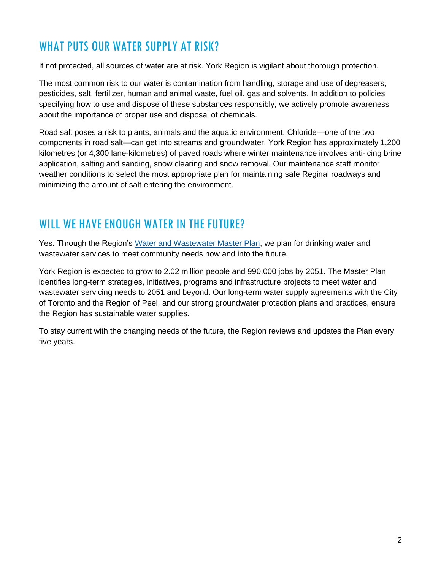### WHAT PUTS OUR WATER SUPPLY AT RISK?

If not protected, all sources of water are at risk. York Region is vigilant about thorough protection.

The most common risk to our water is contamination from handling, storage and use of degreasers, pesticides, salt, fertilizer, human and animal waste, fuel oil, gas and solvents. In addition to policies specifying how to use and dispose of these substances responsibly, we actively promote awareness about the importance of proper use and disposal of chemicals.

Road salt poses a risk to plants, animals and the aquatic environment. Chloride—one of the two components in road salt—can get into streams and groundwater. York Region has approximately 1,200 kilometres (or 4,300 lane-kilometres) of paved roads where winter maintenance involves anti-icing brine application, salting and sanding, snow clearing and snow removal. Our maintenance staff monitor weather conditions to select the most appropriate plan for maintaining safe Reginal roadways and minimizing the amount of salt entering the environment.

### WILL WE HAVE ENOUGH WATER IN THE FUTURE?

Yes. Through the Region's [Water and Wastewater Master Plan,](https://www.york.ca/wps/portal/yorkhome/environment/yr/waterandwastewater/waterandwastewatermasterplan/!ut/p/z1/tVXBbqMwEP2WPfSIPNiAnaOXTQO0lHSbdIMvEUtI4m0wKfUmm7-vk43USmmDqtZcYEZv3sx7Iw1IoAkSqtjIRaFlo4qViXMRTGM-iKPoCpLMYyFwyHiCKYO-T9CvAwBjL4jcEBKIMgbxJR36P1jkwhVG4nz9PRJIrEs5Q_mc4V7JZoVTsZI4Hg2Y0ysDz5m5FfF_A_Hmpb9Hl0qv9RLlu3ZaNkpXSl_ArmkfTPCkpf57SCyburqASm1k26j6kNoWumoLNdsWT7o6BG_l6v1Xu14V6qjtzPB7bfDOw-FYfwYgurwVXS3-A17sd2nP2H8Tjm5TjOH-FHCyn9wMSd-bwh0YFRtZbdFYNcaaFbr74L4iOHagLOQRH8AQRmMKt33qseA6HV7Tz3boEIDt0rt26YlVembXe_Y15iQxhC439APSJ8BxHLLvJGE3l3ZXy-x6n9n1PrNrTvZZc5Ku42f-PPLP46Pg5uDvr_w_jSbWL75pits0TBdGS6GXjlTzBk1OS97KvaJZ1-OakZ10Hn6y7Wi-XNTTtE_8rpf2c_7tGekSKJk!/dz/d5/L2dBISEvZ0FBIS9nQSEh/#.X5MRx6pKiUk) we plan for drinking water and wastewater services to meet community needs now and into the future.

York Region is expected to grow to 2.02 million people and 990,000 jobs by 2051. The Master Plan identifies long-term strategies, initiatives, programs and infrastructure projects to meet water and wastewater servicing needs to 2051 and beyond. Our long-term water supply agreements with the City of Toronto and the Region of Peel, and our strong groundwater protection plans and practices, ensure the Region has sustainable water supplies.

To stay current with the changing needs of the future, the Region reviews and updates the Plan every five years.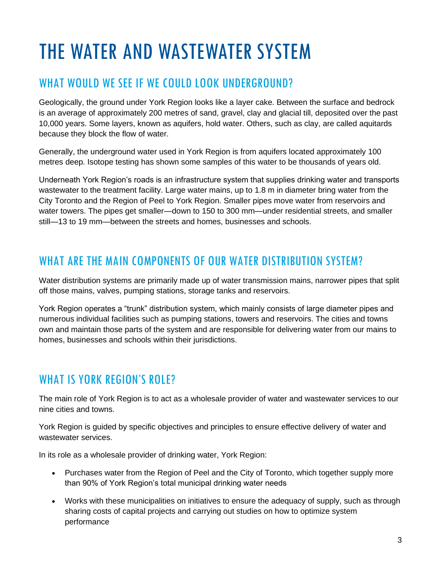## THE WATER AND WASTEWATER SYSTEM

## WHAT WOULD WE SEE IF WE COULD LOOK UNDERGROUND?

Geologically, the ground under York Region looks like a layer cake. Between the surface and bedrock is an average of approximately 200 metres of sand, gravel, clay and glacial till, deposited over the past 10,000 years. Some layers, known as aquifers, hold water. Others, such as clay, are called aquitards because they block the flow of water.

Generally, the underground water used in York Region is from aquifers located approximately 100 metres deep. Isotope testing has shown some samples of this water to be thousands of years old.

Underneath York Region's roads is an infrastructure system that supplies drinking water and transports wastewater to the treatment facility. Large water mains, up to 1.8 m in diameter bring water from the City Toronto and the Region of Peel to York Region. Smaller pipes move water from reservoirs and water towers. The pipes get smaller—down to 150 to 300 mm—under residential streets, and smaller still—13 to 19 mm—between the streets and homes, businesses and schools.

### WHAT ARE THE MAIN COMPONENTS OF OUR WATER DISTRIBUTION SYSTEM?

Water distribution systems are primarily made up of water transmission mains, narrower pipes that split off those mains, valves, pumping stations, storage tanks and reservoirs.

York Region operates a "trunk" distribution system, which mainly consists of large diameter pipes and numerous individual facilities such as pumping stations, towers and reservoirs. The cities and towns own and maintain those parts of the system and are responsible for delivering water from our mains to homes, businesses and schools within their jurisdictions.

#### WHAT IS YORK REGION'S ROLE?

The main role of York Region is to act as a wholesale provider of water and wastewater services to our nine cities and towns.

York Region is guided by specific objectives and principles to ensure effective delivery of water and wastewater services.

In its role as a wholesale provider of drinking water, York Region:

- Purchases water from the Region of Peel and the City of Toronto, which together supply more than 90% of York Region's total municipal drinking water needs
- Works with these municipalities on initiatives to ensure the adequacy of supply, such as through sharing costs of capital projects and carrying out studies on how to optimize system performance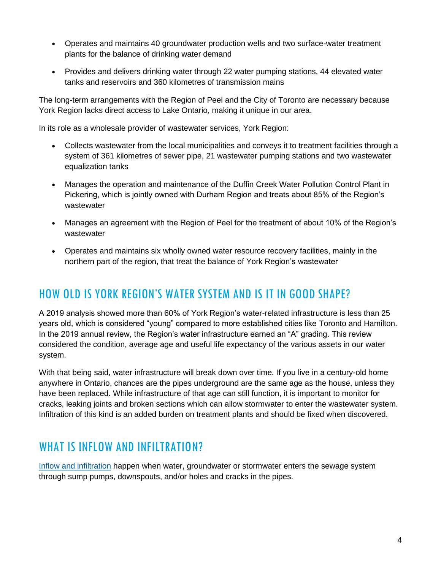- Operates and maintains 40 groundwater production wells and two surface-water treatment plants for the balance of drinking water demand
- Provides and delivers drinking water through 22 water pumping stations, 44 elevated water tanks and reservoirs and 360 kilometres of transmission mains

The long-term arrangements with the Region of Peel and the City of Toronto are necessary because York Region lacks direct access to Lake Ontario, making it unique in our area.

In its role as a wholesale provider of wastewater services, York Region:

- Collects wastewater from the local municipalities and conveys it to treatment facilities through a system of 361 kilometres of sewer pipe, 21 wastewater pumping stations and two wastewater equalization tanks
- Manages the operation and maintenance of the Duffin Creek Water Pollution Control Plant in Pickering, which is jointly owned with Durham Region and treats about 85% of the Region's wastewater
- Manages an agreement with the Region of Peel for the treatment of about 10% of the Region's wastewater
- Operates and maintains six wholly owned water resource recovery facilities, mainly in the northern part of the region, that treat the balance of York Region's wastewater

#### HOW OLD IS YORK REGION'S WATER SYSTEM AND IS IT IN GOOD SHAPE?

A 2019 analysis showed more than 60% of York Region's water-related infrastructure is less than 25 years old, which is considered "young" compared to more established cities like Toronto and Hamilton. In the 2019 annual review, the Region's water infrastructure earned an "A" grading. This review considered the condition, average age and useful life expectancy of the various assets in our water system.

With that being said, water infrastructure will break down over time. If you live in a century-old home anywhere in Ontario, chances are the pipes underground are the same age as the house, unless they have been replaced. While infrastructure of that age can still function, it is important to monitor for cracks, leaking joints and broken sections which can allow stormwater to enter the wastewater system. Infiltration of this kind is an added burden on treatment plants and should be fixed when discovered.

#### WHAT IS INFLOW AND INFILTRATION?

[Inflow and infiltration](https://www.york.ca/wps/portal/yorkhome/environment/yr/waterandwastewater/inflowandinfiltration/inflowandinfiltration/!ut/p/z1/vVRNU8IwEP01HDvZtNDGY-hgPwSKIyjNhQkQINqmUCIVf72hM54UGQdrLsm-3bzNvsw8xNAUMcUPcs21LBTPTJwydxbRIArDO4iTNvGBQkJj2yPQ6zjoETHEtgu5RGkbC4ExCIssvZXV9sC1OJkvrM7NHDgWc8fG7ql6ofRWb1B6LGeLQmmhdAuORfligr2W-rUGNkUuWiDUQZaFymuo4lqUXC0rvteiDlog1SorKgOag8x0Wb_7DIyeLg3DTBrOLArmPrtUkpoW3rkWODAcBykqNFFFmRt5H36pXvjZwSM-DWkAIxhPPLjveW3i9gejvndthwsD2M3S42bpnUbpSbPak78RJ47Ax9TQB07PAWpHPuk6MRneNvu1pFntk2a1T5oVJ7lWnLj2pR-czfi4fN7tGDX2e_LcN42m_-6_5hF2OfAHazMb1xvLJAs0_UqLpmfufw9v85w4R0u9d4dW4M9JNV7lF7ajk63pB6viZOM!/dz/d5/L2dBISEvZ0FBIS9nQSEh/#.X5F67vlKhPY) happen when water, groundwater or stormwater enters the sewage system through sump pumps, downspouts, and/or holes and cracks in the pipes.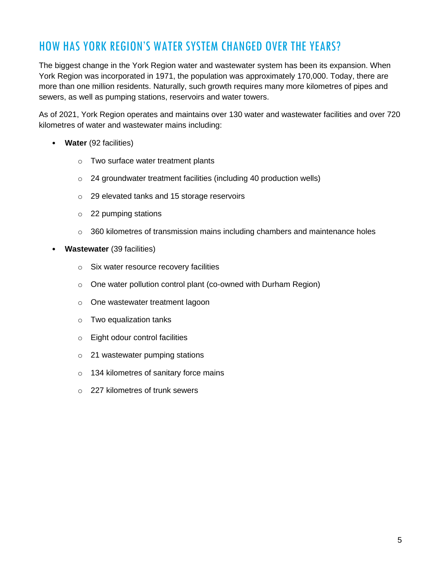## HOW HAS YORK REGION'S WATER SYSTEM CHANGED OVER THE YEARS?

The biggest change in the York Region water and wastewater system has been its expansion. When York Region was incorporated in 1971, the population was approximately 170,000. Today, there are more than one million residents. Naturally, such growth requires many more kilometres of pipes and sewers, as well as pumping stations, reservoirs and water towers.

As of 2021, York Region operates and maintains over 130 water and wastewater facilities and over 720 kilometres of water and wastewater mains including:

- **Water** (92 facilities)
	- o Two surface water treatment plants
	- o 24 groundwater treatment facilities (including 40 production wells)
	- o 29 elevated tanks and 15 storage reservoirs
	- o 22 pumping stations
	- $\circ$  360 kilometres of transmission mains including chambers and maintenance holes
- **Wastewater** (39 facilities)
	- o Six water resource recovery facilities
	- o One water pollution control plant (co-owned with Durham Region)
	- o One wastewater treatment lagoon
	- o Two equalization tanks
	- o Eight odour control facilities
	- o 21 wastewater pumping stations
	- o 134 kilometres of sanitary force mains
	- $\circ$  227 kilometres of trunk sewers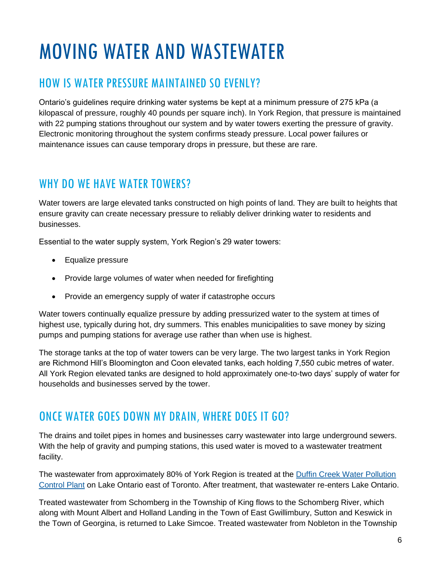## MOVING WATER AND WASTEWATER

## HOW IS WATER PRESSURE MAINTAINED SO EVENLY?

Ontario's guidelines require drinking water systems be kept at a minimum pressure of 275 kPa (a kilopascal of pressure, roughly 40 pounds per square inch). In York Region, that pressure is maintained with 22 pumping stations throughout our system and by water towers exerting the pressure of gravity. Electronic monitoring throughout the system confirms steady pressure. Local power failures or maintenance issues can cause temporary drops in pressure, but these are rare.

### WHY DO WE HAVE WATER TOWERS?

Water towers are large elevated tanks constructed on high points of land. They are built to heights that ensure gravity can create necessary pressure to reliably deliver drinking water to residents and businesses.

Essential to the water supply system, York Region's 29 water towers:

- Equalize pressure
- Provide large volumes of water when needed for firefighting
- Provide an emergency supply of water if catastrophe occurs

Water towers continually equalize pressure by adding pressurized water to the system at times of highest use, typically during hot, dry summers. This enables municipalities to save money by sizing pumps and pumping stations for average use rather than when use is highest.

The storage tanks at the top of water towers can be very large. The two largest tanks in York Region are Richmond Hill's Bloomington and Coon elevated tanks, each holding 7,550 cubic metres of water. All York Region elevated tanks are designed to hold approximately one-to-two days' supply of water for households and businesses served by the tower.

### ONCE WATER GOES DOWN MY DRAIN, WHERE DOES IT GO?

The drains and toilet pipes in homes and businesses carry wastewater into large underground sewers. With the help of gravity and pumping stations, this used water is moved to a wastewater treatment facility.

The wastewater from approximately 80% of York Region is treated at the [Duffin Creek Water Pollution](https://www.york.ca/wps/portal/yorkhome/environment/yr/waterandwastewater/duffincreekwastewatertreatmentfacility/!ut/p/z1/vVVNc9owEP0tPXD0aC35QzmqDmA7MSYpEPCFUW0JVGKZOAqUf1_BtNNOMgnppK4umt15-3b3rWaFCjRHheY7teJGNZrfW3tRBMuEDZM4voI092gEDHKW4pBC3yfo7gSAVw4DVLwn_g_ALYNkRkdZeDkg1AvOxc9QgYptqSq08AmhLsEXjiSSO5771XMo9qVDuZDSD6qqEvKILrXZmjVaHNpl2WgjtOnBoWk31ng0yjydHOumFj0QeqfaRtcn154b0XJd7fmjESejB9WTlEqXrRCb327TCm6OMZKX6l6Zw8sun7dRvC3i3bFuC8HYC2I3ghTinEIyCMf-JY1duMI_AW8N4hmDG15YhlE0uckwhhmghS0yfK1Id2ir2CmxR1PdtLV9Gl_-Uvn4V4aQRixmQxjDZBrCTT_0aHCdja_Dj2Y40wDult7tlp50Sk-71Z7-G3HSBCKXWfoh6RNgOInoZ5LS0aDb0dJutc-71T7vVpz8o-Kk51a8_YPUt4eHgtnVfdzX3w2a_8fdbdPjNouyle2Km7WjtGzQ_CUhmr-TcFtPpzUlB2dzS_cTuV7Vy6xP_HOX8Rfs0w8gJmF3/dz/d5/L2dBISEvZ0FBIS9nQSEh/#.X5rDWqpKiUk)  [Control Plant](https://www.york.ca/wps/portal/yorkhome/environment/yr/waterandwastewater/duffincreekwastewatertreatmentfacility/!ut/p/z1/vVVNc9owEP0tPXD0aC35QzmqDmA7MSYpEPCFUW0JVGKZOAqUf1_BtNNOMgnppK4umt15-3b3rWaFCjRHheY7teJGNZrfW3tRBMuEDZM4voI092gEDHKW4pBC3yfo7gSAVw4DVLwn_g_ALYNkRkdZeDkg1AvOxc9QgYptqSq08AmhLsEXjiSSO5771XMo9qVDuZDSD6qqEvKILrXZmjVaHNpl2WgjtOnBoWk31ng0yjydHOumFj0QeqfaRtcn154b0XJd7fmjESejB9WTlEqXrRCb327TCm6OMZKX6l6Zw8sun7dRvC3i3bFuC8HYC2I3ghTinEIyCMf-JY1duMI_AW8N4hmDG15YhlE0uckwhhmghS0yfK1Id2ir2CmxR1PdtLV9Gl_-Uvn4V4aQRixmQxjDZBrCTT_0aHCdja_Dj2Y40wDult7tlp50Sk-71Z7-G3HSBCKXWfoh6RNgOInoZ5LS0aDb0dJutc-71T7vVpz8o-Kk51a8_YPUt4eHgtnVfdzX3w2a_8fdbdPjNouyle2Km7WjtGzQ_CUhmr-TcFtPpzUlB2dzS_cTuV7Vy6xP_HOX8Rfs0w8gJmF3/dz/d5/L2dBISEvZ0FBIS9nQSEh/#.X5rDWqpKiUk) on Lake Ontario east of Toronto. After treatment, that wastewater re-enters Lake Ontario.

Treated wastewater from Schomberg in the Township of King flows to the Schomberg River, which along with Mount Albert and Holland Landing in the Town of East Gwillimbury, Sutton and Keswick in the Town of Georgina, is returned to Lake Simcoe. Treated wastewater from Nobleton in the Township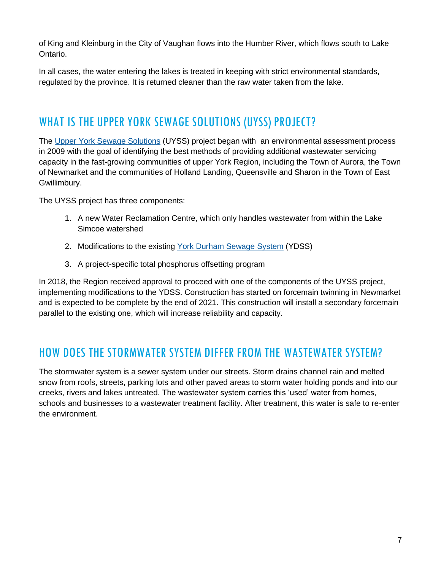of King and Kleinburg in the City of Vaughan flows into the Humber River, which flows south to Lake Ontario.

In all cases, the water entering the lakes is treated in keeping with strict environmental standards, regulated by the province. It is returned cleaner than the raw water taken from the lake.

## WHAT IS THE UPPER YORK SEWAGE SOLUTIONS (UYSS) PROJECT?

The [Upper York Sewage Solutions](https://www.york.ca/wps/portal/yorkhome/environment/yr/waterandwastewater/upperyorksewagesolutions/!ut/p/z1/tVVRc6IwEP4t9-Ajk01AEx5zVAVaxPbUCi8OYlCuJVCIev77C047c9OO9W568JLZnW-__fZLZkExWqJYJod8m6i8lMmzjqN4sPL42HPdW_BDiznAIeQ-oQyGfRM9ngFw4eOA4r-p_wPwwMFbsElAb0YmswbX6hcoRnGV5hsU2evMttLMNDapWBsWoYlhZ2AZ2LbWTKQYM4xbdCpVpXYoOtWrtJRKSNWDU1k_6aBRudqfE7uyED0Q8pDXpSzOqWOiRJ3IzTFplDgHPdhXlajb4kZntqIpn_etc83Hud4Ljz-37bFVqiGEWAMXO-CDGzLwRnTav2EuhlvyCvjM-ncMmNqaYeLM7gNCYAEo0iLpJZF4rFUccnFEc1nWhX4MP_7Ra_etA2UOd_kYpjCbU7gfUosN7oLpHf1qhysDkG7pcbf0Zqf0rFvv2f8xx_fAwVzTj82hCZx4Dvtu-mwy6vZqWbfeh916H3ZrTvhVc_xrS13_dfKfLy8x18u63dC_FFp2uq11Q1IHTrDVcyRqZ-QyK9HyIwVaXqSoivm8YObJeHpgx1m22xarYGj2rx2qH_FvvwGCG-Ay/dz/d5/L2dBISEvZ0FBIS9nQSEh/) (UYSS) project began with an environmental assessment process in 2009 with the goal of identifying the best methods of providing additional wastewater servicing capacity in the fast-growing communities of upper York Region, including the Town of Aurora, the Town of Newmarket and the communities of Holland Landing, Queensville and Sharon in the Town of East Gwillimbury.

The UYSS project has three components:

- 1. A new Water Reclamation Centre, which only handles wastewater from within the Lake Simcoe watershed
- 2. Modifications to the existing [York Durham Sewage System](https://www.york.ca/wps/portal/yorkhome/environment/yr/waterandwastewater/upperyorksewagesolutions/!ut/p/z1/tVVRc6IwEP4t9-Ajk01AEx5zVAVaxPbUCi8OYlCuJVCIev77C047c9OO9W568JLZnW-__fZLZkExWqJYJod8m6i8lMmzjqN4sPL42HPdW_BDiznAIeQ-oQyGfRM9ngFw4eOA4r-p_wPwwMFbsElAb0YmswbX6hcoRnGV5hsU2evMttLMNDapWBsWoYlhZ2AZ2LbWTKQYM4xbdCpVpXYoOtWrtJRKSNWDU1k_6aBRudqfE7uyED0Q8pDXpSzOqWOiRJ3IzTFplDgHPdhXlajb4kZntqIpn_etc83Hud4Ljz-37bFVqiGEWAMXO-CDGzLwRnTav2EuhlvyCvjM-ncMmNqaYeLM7gNCYAEo0iLpJZF4rFUccnFEc1nWhX4MP_7Ra_etA2UOd_kYpjCbU7gfUosN7oLpHf1qhysDkG7pcbf0Zqf0rFvv2f8xx_fAwVzTj82hCZx4Dvtu-mwy6vZqWbfeh916H3ZrTvhVc_xrS13_dfKfLy8x18u63dC_FFp2uq11Q1IHTrDVcyRqZ-QyK9HyIwVaXqSoivm8YObJeHpgx1m22xarYGj2rx2qH_FvvwGCG-Ay/dz/d5/L2dBISEvZ0FBIS9nQSEh/) (YDSS)
- 3. A project-specific total phosphorus offsetting program

In 2018, the Region received approval to proceed with one of the components of the UYSS project, implementing modifications to the YDSS. Construction has started on forcemain twinning in Newmarket and is expected to be complete by the end of 2021. This construction will install a secondary forcemain parallel to the existing one, which will increase reliability and capacity.

### HOW DOES THE STORMWATER SYSTEM DIFFER FROM THE WASTEWATER SYSTEM?

The stormwater system is a sewer system under our streets. Storm drains channel rain and melted snow from roofs, streets, parking lots and other paved areas to storm water holding ponds and into our creeks, rivers and lakes untreated. The wastewater system carries this 'used' water from homes, schools and businesses to a wastewater treatment facility. After treatment, this water is safe to re-enter the environment.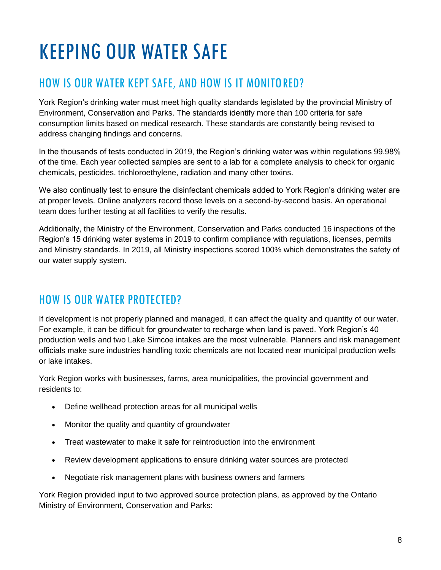# KEEPING OUR WATER SAFE

## HOW IS OUR WATER KEPT SAFE, AND HOW IS IT MONITORED?

York Region's drinking water must meet high quality standards legislated by the provincial Ministry of Environment, Conservation and Parks. The standards identify more than 100 criteria for safe consumption limits based on medical research. These standards are constantly being revised to address changing findings and concerns.

In the thousands of tests conducted in 2019, the Region's drinking water was within regulations 99.98% of the time. Each year collected samples are sent to a lab for a complete analysis to check for organic chemicals, pesticides, trichloroethylene, radiation and many other toxins.

We also continually test to ensure the disinfectant chemicals added to York Region's drinking water are at proper levels. Online analyzers record those levels on a second-by-second basis. An operational team does further testing at all facilities to verify the results.

Additionally, the Ministry of the Environment, Conservation and Parks conducted 16 inspections of the Region's 15 drinking water systems in 2019 to confirm compliance with regulations, licenses, permits and Ministry standards. In 2019, all Ministry inspections scored 100% which demonstrates the safety of our water supply system.

### HOW IS OUR WATER PROTECTED?

If development is not properly planned and managed, it can affect the quality and quantity of our water. For example, it can be difficult for groundwater to recharge when land is paved. York Region's 40 production wells and two Lake Simcoe intakes are the most vulnerable. Planners and risk management officials make sure industries handling toxic chemicals are not located near municipal production wells or lake intakes.

York Region works with businesses, farms, area municipalities, the provincial government and residents to:

- Define wellhead protection areas for all municipal wells
- Monitor the quality and quantity of groundwater
- Treat wastewater to make it safe for reintroduction into the environment
- Review development applications to ensure drinking water sources are protected
- Negotiate risk management plans with business owners and farmers

York Region provided input to two approved source protection plans, as approved by the Ontario Ministry of Environment, Conservation and Parks: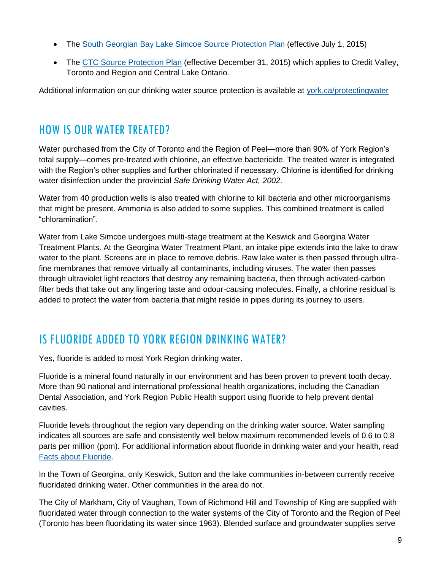- The [South Georgian Bay Lake Simcoe Source Protection Plan](https://ourwatershed.ca/resources/reports-and-plans/source-protection-plan/) (effective July 1, 2015)
- The [CTC Source Protection Plan](https://ctcswp.ca/protecting-our-water/the-ctc-source-protection-plan/) (effective December 31, 2015) which applies to Credit Valley, Toronto and Region and Central Lake Ontario.

Additional information on our drinking water source protection is available at [york.ca/protectingwater](http://www.york.ca/protectingwater)

### HOW IS OUR WATER TREATED?

Water purchased from the City of Toronto and the Region of Peel—more than 90% of York Region's total supply—comes pre-treated with chlorine, an effective bactericide. The treated water is integrated with the Region's other supplies and further chlorinated if necessary. Chlorine is identified for drinking water disinfection under the provincial *Safe Drinking Water Act, 2002*.

Water from 40 production wells is also treated with chlorine to kill bacteria and other microorganisms that might be present. Ammonia is also added to some supplies. This combined treatment is called "chloramination".

Water from Lake Simcoe undergoes multi-stage treatment at the Keswick and Georgina Water Treatment Plants. At the Georgina Water Treatment Plant, an intake pipe extends into the lake to draw water to the plant. Screens are in place to remove debris. Raw lake water is then passed through ultrafine membranes that remove virtually all contaminants, including viruses. The water then passes through ultraviolet light reactors that destroy any remaining bacteria, then through activated-carbon filter beds that take out any lingering taste and odour-causing molecules. Finally, a chlorine residual is added to protect the water from bacteria that might reside in pipes during its journey to users.

### IS FLUORIDE ADDED TO YORK REGION DRINKING WATER?

Yes, fluoride is added to most York Region drinking water.

Fluoride is a mineral found naturally in our environment and has been proven to prevent tooth decay. More than 90 national and international professional health organizations, including the Canadian Dental Association, and York Region Public Health support using fluoride to help prevent dental cavities.

Fluoride levels throughout the region vary depending on the drinking water source. Water sampling indicates all sources are safe and consistently well below maximum recommended levels of 0.6 to 0.8 parts per million (ppm). For additional information about fluoride in drinking water and your health, read [Facts about Fluoride.](https://www.york.ca/wps/wcm/connect/yorkpublic/8ef98546-d060-4d6b-bf88-fe82e2cb02d7/Fluoride+Fact+Sheet.pdf?MOD=AJPERES&CVID=mLVZcwd)

In the Town of Georgina, only Keswick, Sutton and the lake communities in-between currently receive fluoridated drinking water. Other communities in the area do not.

The City of Markham, City of Vaughan, Town of Richmond Hill and Township of King are supplied with fluoridated water through connection to the water systems of the City of Toronto and the Region of Peel (Toronto has been fluoridating its water since 1963). Blended surface and groundwater supplies serve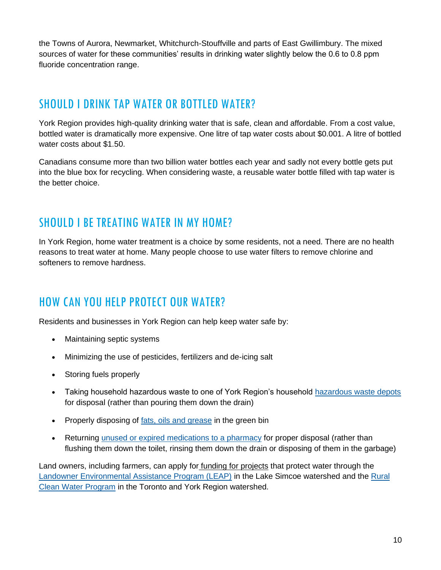the Towns of Aurora, Newmarket, Whitchurch-Stouffville and parts of East Gwillimbury. The mixed sources of water for these communities' results in drinking water slightly below the 0.6 to 0.8 ppm fluoride concentration range.

### SHOULD I DRINK TAP WATER OR BOTTLED WATER?

York Region provides high-quality drinking water that is safe, clean and affordable. From a cost value, bottled water is dramatically more expensive. One litre of tap water costs about \$0.001. A litre of bottled water costs about \$1.50.

Canadians consume more than two billion water bottles each year and sadly not every bottle gets put into the blue box for recycling. When considering waste, a reusable water bottle filled with tap water is the better choice.

### SHOULD LBE TREATING WATER IN MY HOME?

In York Region, home water treatment is a choice by some residents, not a need. There are no health reasons to treat water at home. Many people choose to use water filters to remove chlorine and softeners to remove hardness.

### HOW CAN YOU HELP PROTECT OUR WATER?

Residents and businesses in York Region can help keep water safe by:

- Maintaining septic systems
- Minimizing the use of pesticides, fertilizers and de-icing salt
- Storing fuels properly
- Taking household hazardous waste to one of York Region's household [hazardous waste depots](http://www.york.ca/wps/portal/yorkhome/environment/yr/garbageandrecycling/hazardouswasteandspecialitems/specialitemsdisposal/!ut/p/a1/jZDRjoIwEEW_xQ8wHboi-NhF3YIimhi39sWMwNYmWAhFjX69aHwwMevufbu5ZzIzl0giiDR41AobXRosbl72NyH7CjmfQJT0_AAYJCying8j96MF1i0Av4jBX_PRPxbQOg5iRWSFza6rzU9JhMJ6iypHk9V5ek4LbRQRO7xgnZUHe0Lb3DJb5anGQjf53hLx7DJtq9K2D34Teb-A0l6fOwFE4HgDCMezYLmIKYUVvAA88VvAm7tDnzswoQ_gTQfVXlymn4NQs07nCitWOlA!/dl5/d5/L2dBISEvZ0FBIS9nQSEh/#.VWNaOFKfgbY) for disposal (rather than pouring them down the drain)
- Properly disposing of [fats, oils and grease](https://www.york.ca/wps/portal/yorkhome/yorkregion/yr/regionalofficialplan/!ut/p/z1/jZBBS8QwEIV_i4cet5mNu9vgLVQ0bV0qiFhzkXRJ0kA2Kdlo0V9vqF4E7Tq3Gb55894gjjrEnXgzWkTjnbCpf-a7l4reVow1ULcbUgKFlta4IECaAj3NAPxRFBD_z_4CwJfl63MHUgIc9uVeIz6KOKyMUx51Qeo5oFfKHIywoxUueeGzGsabHVuXUANrCVQ3xf32mrA1lNszQIO_gWXD2vr-67fU9ZckOQtSySBD_hrSeIhxPF1lkME0Tbn2XluZH_wxg99WBn-KqPtJovH42H3cqYdqxfv3iV58AuM-Hq8!/dz/d5/L2dBISEvZ0FBIS9nQSEh/#.X5Iff_lKhPY) in the green bin
- Returning [unused or expired medications to a pharmacy](https://www.york.ca/wps/portal/yorkhome/newsroom/CampaignsProjects/idontflush/!ut/p/z1/jY_NDoIwEISfhQcw3Ta0wJGAUCqIplGxF9PE8JNgIYoefHqJejIRndsm38zOIIUKpIy-NZUems7odrz3ih3Aozb3JAjIvRD8JF-nc0dgyWy0ewFf5ANSf_m_A2o6Xvx6MC4g5yzIKqR6PdSzxpQdKppjZ4ayvV7qsYF6ZhBiM44DEHHkOZBsJV_SmGLA7BMAnruQRM6Khi7HsCBvYKJmf9oU97SUSWVZDxstE-s!/dz/d5/L2dBISEvZ0FBIS9nQSEh/#.X5IqCUeSlPY) for proper disposal (rather than flushing them down the toilet, rinsing them down the drain or disposing of them in the garbage)

Land owners, including farmers, can apply for funding for projects that protect water through the [Landowner Environmental Assistance Program \(LEAP\)](https://www.lsrca.on.ca/leap) in the Lake Simcoe watershed and the [Rural](https://trca.ca/get-involved/private-land-grants/rural-clean-water/)  [Clean Water Program](https://trca.ca/get-involved/private-land-grants/rural-clean-water/) in the Toronto and York Region watershed.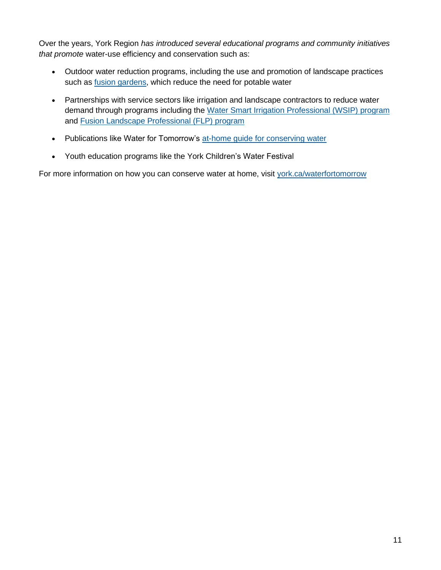Over the years, York Region *has introduced several educational programs and community initiatives that promote* water-use efficiency and conservation such as:

- Outdoor water reduction programs, including the use and promotion of landscape practices such as [fusion gardens,](https://www.york.ca/wps/portal/yorkhome/environment/yr/fusion%20gardening/!ut/p/z1/tZXBbuIwEIZfpXvoMfLEjrF7dLOUJG0a2gJLfEEpJMHbxqGpS8vb17BIe0AQrdj4Ytn6PfPPN9IYSTRFUmdrVWZG1Tp7tedU9mahGIRBcAtR4nEfBCQiwoxDnxL0ayfA2OsFrg8RBAmH8IYN6U8euHCLkTz9foIkkqu5WqDUpW7PuyqoQ3OWOx6jc-d5kTFnQQglBc55xp-36rk2K7NE6aaZzWttcm0uYVM3L_bwbpT52F0s6yq_hFyvVVPrandVfLzboi7KrFnkWuly7_2Eua13OLIE7N-fEMg2drItxR_BX7wuu7J47_3RQ4wxTA4FB_xTa5Idc-EObBVrlX-isa6byjb86R_7EcA-A-O-CMQAhjAaM3joM4_37uLhHTs3Q0sBuNvwbrfhSafhebfs-f-BE4Xgu8KGH5A-AYFDn1-TiN_fdNta3i37pFv2SbdwknPhRG3Dz_4s6vfbmxR2oG-n-JdB07Mnug2Km9iPS-s1M0tH6aJG0wPZqhpXnGyU8_LIP0fFsqxmcZ_Qts3QVPz4Bg-ZhGc!/dz/d5/L2dBISEvZ0FBIS9nQSEh/#.X5MiI6pKiUk) which reduce the need for potable water
- Partnerships with service sectors like irrigation and landscape contractors to reduce water demand through programs including the [Water Smart Irrigation Professional \(WSIP\) program](https://www.watersmartirrigationprofessional.ca/) and [Fusion Landscape Professional \(FLP\) program](https://www.fusionlandscapeprofessional.ca/)
- Publications like Water for Tomorrow's [at-home guide for conserving water](https://www.york.ca/wps/wcm/connect/yorkpublic/e7481bb3-0386-4b68-9462-737637e37934/WaterEfficiencyGuide.pdf?MOD=AJPERES&CVID=mu96Hwt)
- Youth education programs like the York Children's Water Festival

For more information on how you can conserve water at home, visit [york.ca/waterfortomorrow](https://www.york.ca/wps/portal/yorkhome/environment/yr/waterandwastewater/conservingwaterfortomorrow/conservingwaterfortomorrownewsocial/!ut/p/z1/jZDLDoIwEEW_xQ8wM1QFXFZ8FBTRxAd2YxoFbKKtKY0kfr2EuDOis7szZx53gEMKXImHLISVWolrrQ_cPYZ0FjI2xyjp-wFSTGhEPB8ngx7sGwC_BEXg__S3ALx9fPRrQe2AmDiIC-B3YS9dqXINaSVsZoQ6V6K0WSMgPWlVZuYhVdEkcm2svmljdNVWU1lV6pOsf7UH3hxDSN9lToAROt4Qw-ky2KxjQnCHHwBL_BrwVoOxzxyckzfQ4vd-26bPxWgYStp5AZS-9uY!/dz/d5/L2dBISEvZ0FBIS9nQSEh/#.X5h-U6pKhPY)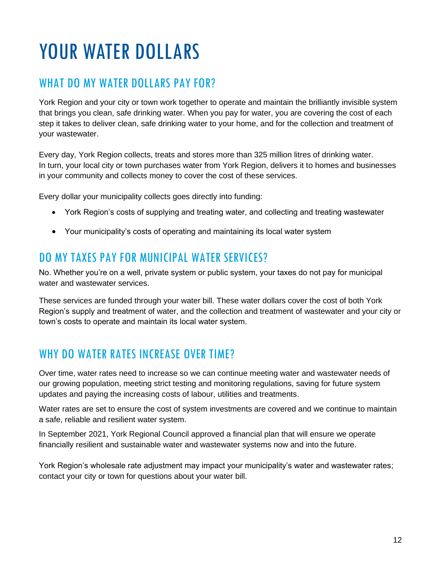# YOUR WATER DOLLARS

## WHAT DO MY WATER DOLLARS PAY FOR?

York Region and your city or town work together to operate and maintain the brilliantly invisible system that brings you clean, safe drinking water. When you pay for water, you are covering the cost of each step it takes to deliver clean, safe drinking water to your home, and for the collection and treatment of your wastewater.

Every day, York Region collects, treats and stores more than 325 million litres of drinking water. In turn, your local city or town purchases water from York Region, delivers it to homes and businesses in your community and collects money to cover the cost of these services.

Every dollar your municipality collects goes directly into funding:

- York Region's costs of supplying and treating water, and collecting and treating wastewater
- Your municipality's costs of operating and maintaining its local water system

#### DO MY TAXES PAY FOR MUNICIPAL WATER SERVICES?

No. Whether you're on a well, private system or public system, your taxes do not pay for municipal water and wastewater services.

These services are funded through your water bill. These water dollars cover the cost of both York Region's supply and treatment of water, and the collection and treatment of wastewater and your city or town's costs to operate and maintain its local water system.

### WHY DO WATER RATES INCREASE OVER TIME?

Over time, water rates need to increase so we can continue meeting water and wastewater needs of our growing population, meeting strict testing and monitoring regulations, saving for future system updates and paying the increasing costs of labour, utilities and treatments.

Water rates are set to ensure the cost of system investments are covered and we continue to maintain a safe, reliable and resilient water system.

In September 2021, York Regional Council approved a financial plan that will ensure we operate financially resilient and sustainable water and wastewater systems now and into the future.

York Region's wholesale rate adjustment may impact your municipality's water and wastewater rates; contact your city or town for questions about your water bill.